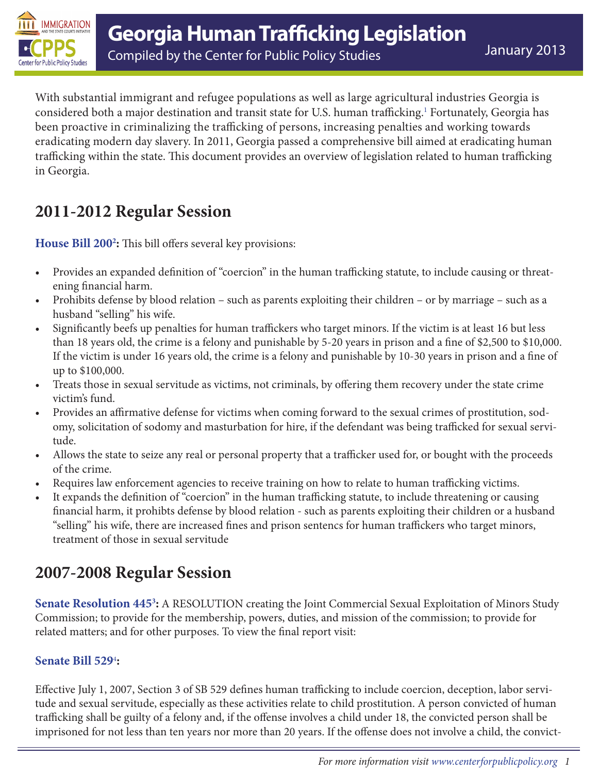

With substantial immigrant and refugee populations as well as large agricultural industries Georgia is considered both a major destination and transit state for U.S. human trafficking[.1](#page-3-0) Fortunately, Georgia has been proactive in criminalizing the trafficking of persons, increasing penalties and working towards eradicating modern day slavery. In 2011, Georgia passed a comprehensive bill aimed at eradicating human trafficking within the state. This document provides an overview of legislation related to human trafficking in Georgia.

### **2011-2012 Regular Session**

**[House Bill 200](http://www.legis.ga.gov/legislation/en-US/display/32503)[2](#page-3-0) :** This bill offers several key provisions:

- Provides an expanded definition of "coercion" in the human trafficking statute, to include causing or threatening financial harm.
- Prohibits defense by blood relation such as parents exploiting their children or by marriage such as a husband "selling" his wife.
- Significantly beefs up penalties for human traffickers who target minors. If the victim is at least 16 but less than 18 years old, the crime is a felony and punishable by 5-20 years in prison and a fine of \$2,500 to \$10,000. If the victim is under 16 years old, the crime is a felony and punishable by 10-30 years in prison and a fine of up to \$100,000.
- Treats those in sexual servitude as victims, not criminals, by offering them recovery under the state crime victim's fund.
- Provides an affirmative defense for victims when coming forward to the sexual crimes of prostitution, sodomy, solicitation of sodomy and masturbation for hire, if the defendant was being trafficked for sexual servitude.
- Allows the state to seize any real or personal property that a trafficker used for, or bought with the proceeds of the crime.
- Requires law enforcement agencies to receive training on how to relate to human trafficking victims.
- It expands the definition of "coercion" in the human trafficking statute, to include threatening or causing financial harm, it prohibts defense by blood relation - such as parents exploiting their children or a husband "selling" his wife, there are increased fines and prison sentencs for human traffickers who target minors, treatment of those in sexual servitude

## **2007-2008 Regular Session**

**[Senate Resolution 445](http://www.legis.ga.gov/Legislation/en-US/display/20072008/SR/445)[3](#page-3-0) :** A RESOLUTION creating the Joint Commercial Sexual Exploitation of Minors Study Commission; to provide for the membership, powers, duties, and mission of the commission; to provide for related matters; and for other purposes. To view the final report visit:

#### **[Senate Bill 529](http://www.legis.ga.gov/Legislation/en-US/display/20052006/SB/529)**[4](#page-3-0) **:**

Effective July 1, 2007, Section 3 of SB 529 defines human trafficking to include coercion, deception, labor servitude and sexual servitude, especially as these activities relate to child prostitution. A person convicted of human trafficking shall be guilty of a felony and, if the offense involves a child under 18, the convicted person shall be imprisoned for not less than ten years nor more than 20 years. If the offense does not involve a child, the convict-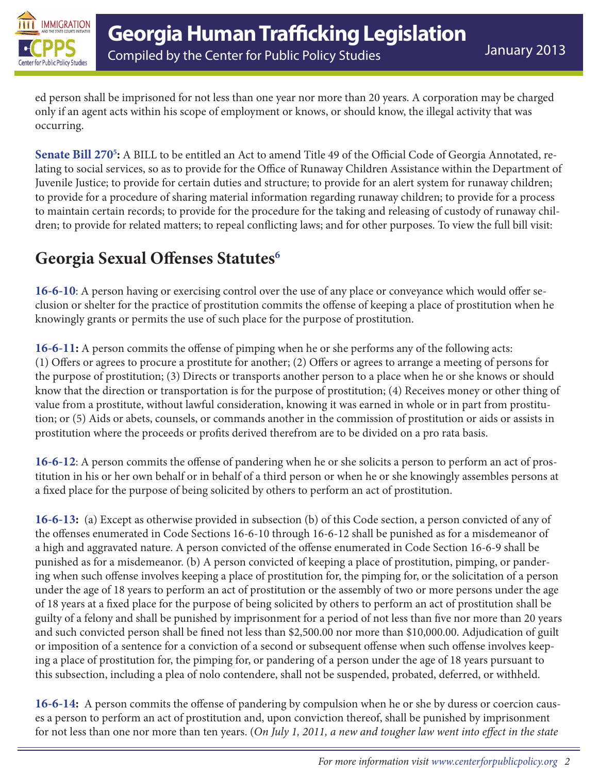

ed person shall be imprisoned for not less than one year nor more than 20 years. A corporation may be charged only if an agent acts within his scope of employment or knows, or should know, the illegal activity that was occurring.

**[Senate Bill 270](http://www.legis.ga.gov/Legislation/en-US/display/20072008/SB/270)[5](#page-3-0) :** A BILL to be entitled an Act to amend Title 49 of the Official Code of Georgia Annotated, relating to social services, so as to provide for the Office of Runaway Children Assistance within the Department of Juvenile Justice; to provide for certain duties and structure; to provide for an alert system for runaway children; to provide for a procedure of sharing material information regarding runaway children; to provide for a process to maintain certain records; to provide for the procedure for the taking and releasing of custody of runaway children; to provide for related matters; to repeal conflicting laws; and for other purposes. To view the full bill visit:

# **Georgia Sexual Offenses Statutes[6](#page-3-0)**

**[16-6-10](http://law.justia.com/codes/georgia/2010/title-16/chapter-6/16-6-10/)**: A person having or exercising control over the use of any place or conveyance which would offer seclusion or shelter for the practice of prostitution commits the offense of keeping a place of prostitution when he knowingly grants or permits the use of such place for the purpose of prostitution.

**[16-6-11](http://law.onecle.com/georgia/16/16-6-11.html):** A person commits the offense of pimping when he or she performs any of the following acts: (1) Offers or agrees to procure a prostitute for another; (2) Offers or agrees to arrange a meeting of persons for the purpose of prostitution; (3) Directs or transports another person to a place when he or she knows or should know that the direction or transportation is for the purpose of prostitution; (4) Receives money or other thing of value from a prostitute, without lawful consideration, knowing it was earned in whole or in part from prostitution; or (5) Aids or abets, counsels, or commands another in the commission of prostitution or aids or assists in prostitution where the proceeds or profits derived therefrom are to be divided on a pro rata basis.

**[16-6-12](http://law.justia.com/codes/georgia/2010/title-16/chapter-6/16-6-12/)**: A person commits the offense of pandering when he or she solicits a person to perform an act of prostitution in his or her own behalf or in behalf of a third person or when he or she knowingly assembles persons at a fixed place for the purpose of being solicited by others to perform an act of prostitution.

**[16-6-13](http://law.onecle.com/georgia/16/16-6-13.html):** (a) Except as otherwise provided in subsection (b) of this Code section, a person convicted of any of the offenses enumerated in Code Sections 16-6-10 through 16-6-12 shall be punished as for a misdemeanor of a high and aggravated nature. A person convicted of the offense enumerated in Code Section 16-6-9 shall be punished as for a misdemeanor. (b) A person convicted of keeping a place of prostitution, pimping, or pandering when such offense involves keeping a place of prostitution for, the pimping for, or the solicitation of a person under the age of 18 years to perform an act of prostitution or the assembly of two or more persons under the age of 18 years at a fixed place for the purpose of being solicited by others to perform an act of prostitution shall be guilty of a felony and shall be punished by imprisonment for a period of not less than five nor more than 20 years and such convicted person shall be fined not less than \$2,500.00 nor more than \$10,000.00. Adjudication of guilt or imposition of a sentence for a conviction of a second or subsequent offense when such offense involves keeping a place of prostitution for, the pimping for, or pandering of a person under the age of 18 years pursuant to this subsection, including a plea of nolo contendere, shall not be suspended, probated, deferred, or withheld.

**[16-6-14](http://law.justia.com/codes/georgia/2010/title-16/chapter-6/16-6-14/):** A person commits the offense of pandering by compulsion when he or she by duress or coercion causes a person to perform an act of prostitution and, upon conviction thereof, shall be punished by imprisonment for not less than one nor more than ten years. (*On July 1, 2011, a new and tougher law went into effect in the state*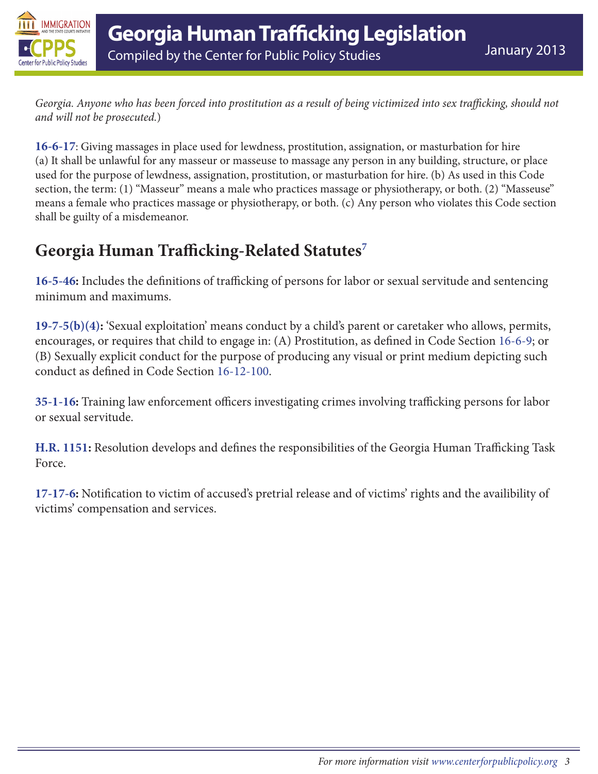

*Georgia. Anyone who has been forced into prostitution as a result of being victimized into sex trafficking, should not and will not be prosecuted.*)

**[16-6-17](http://law.justia.com/codes/georgia/2010/title-16/chapter-6/16-6-17/)**: Giving massages in place used for lewdness, prostitution, assignation, or masturbation for hire (a) It shall be unlawful for any masseur or masseuse to massage any person in any building, structure, or place used for the purpose of lewdness, assignation, prostitution, or masturbation for hire. (b) As used in this Code section, the term: (1) "Masseur" means a male who practices massage or physiotherapy, or both. (2) "Masseuse" means a female who practices massage or physiotherapy, or both. (c) Any person who violates this Code section shall be guilty of a misdemeanor.

### **Georgia Human Trafficking-Related Statutes[7](#page-3-0)**

**[16-5-46](http://law.justia.com/codes/georgia/2010/title-16/chapter-5/article-3/16-5-46/):** Includes the definitions of trafficking of persons for labor or sexual servitude and sentencing minimum and maximums.

**[19-7-5\(b\)\(4\):](http://law.justia.com/codes/georgia/2006/19/19-7-5.html)** 'Sexual exploitation' means conduct by a child's parent or caretaker who allows, permits, encourages, or requires that child to engage in: (A) Prostitution, as defined in Code Section [16-6-9;](http://law.justia.com/codes/georgia/2010/title-16/chapter-6/16-6-9/) or (B) Sexually explicit conduct for the purpose of producing any visual or print medium depicting such conduct as defined in Code Section [16-12-100](http://law.onecle.com/georgia/16/16-12-100.html).

**[35-1-16](http://www.itislaw.com/NLLXML/getcode.asp?datatype=S&statecd=GA&sessionyr=2012&TOCId=16507&userid=PRODSG&cvfilename=&noheader=1&Interface=NLL):** Training law enforcement officers investigating crimes involving trafficking persons for labor or sexual servitude.

**[H.R. 1151](http://www.legis.ga.gov/legislation/en-US/display/20112012/HR/1151):** Resolution develops and defines the responsibilities of the Georgia Human Trafficking Task Force.

**[17-17-6](http://law.onecle.com/georgia/17/17-17-6.html):** Notification to victim of accused's pretrial release and of victims' rights and the availibility of victims' compensation and services.